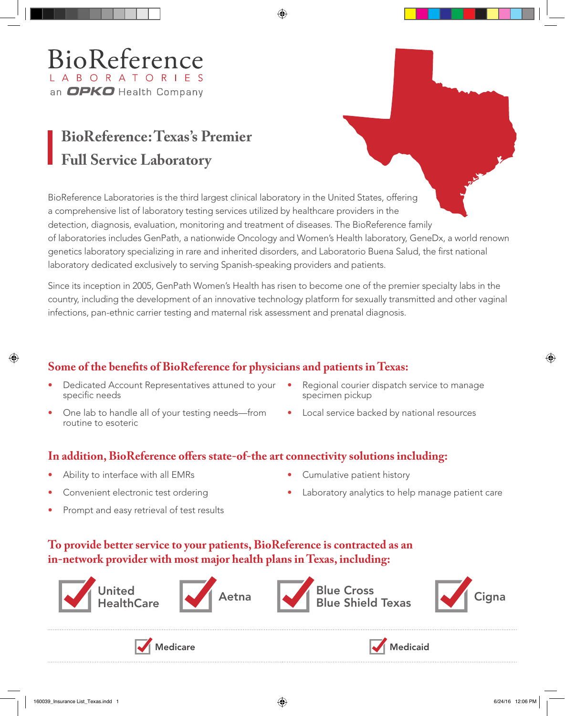# BioReference L A B O R A T O R I E S an OPKO Health Company

# **BioReference: Texas's Premier Full Service Laboratory**

BioReference Laboratories is the third largest clinical laboratory in the United States, offering a comprehensive list of laboratory testing services utilized by healthcare providers in the detection, diagnosis, evaluation, monitoring and treatment of diseases. The BioReference family of laboratories includes GenPath, a nationwide Oncology and Women's Health laboratory, GeneDx, a world renown genetics laboratory specializing in rare and inherited disorders, and Laboratorio Buena Salud, the first national laboratory dedicated exclusively to serving Spanish-speaking providers and patients.

Since its inception in 2005, GenPath Women's Health has risen to become one of the premier specialty labs in the country, including the development of an innovative technology platform for sexually transmitted and other vaginal infections, pan-ethnic carrier testing and maternal risk assessment and prenatal diagnosis.

### **Some of the benefits of BioReference for physicians and patients in Texas:**

- Dedicated Account Representatives attuned to your specific needs
- One lab to handle all of your testing needs—from routine to esoteric
- Regional courier dispatch service to manage specimen pickup
- Local service backed by national resources

#### **In addition, BioReference offers state-of-the art connectivity solutions including:**

- Ability to interface with all EMRs
- Convenient electronic test ordering
- Cumulative patient history
- Laboratory analytics to help manage patient care
- Prompt and easy retrieval of test results

#### **To provide better service to your patients, BioReference is contracted as an in-network provider with most major health plans in Texas, including:**